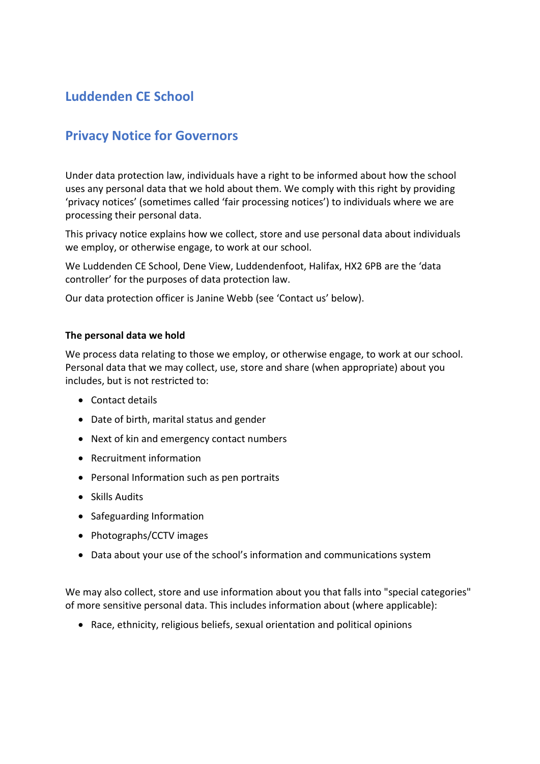# **Luddenden CE School**

# **Privacy Notice for Governors**

Under data protection law, individuals have a right to be informed about how the school uses any personal data that we hold about them. We comply with this right by providing 'privacy notices' (sometimes called 'fair processing notices') to individuals where we are processing their personal data.

This privacy notice explains how we collect, store and use personal data about individuals we employ, or otherwise engage, to work at our school.

We Luddenden CE School, Dene View, Luddendenfoot, Halifax, HX2 6PB are the 'data controller' for the purposes of data protection law.

Our data protection officer is Janine Webb (see 'Contact us' below).

# **The personal data we hold**

We process data relating to those we employ, or otherwise engage, to work at our school. Personal data that we may collect, use, store and share (when appropriate) about you includes, but is not restricted to:

- Contact details
- Date of birth, marital status and gender
- Next of kin and emergency contact numbers
- Recruitment information
- Personal Information such as pen portraits
- Skills Audits
- Safeguarding Information
- Photographs/CCTV images
- Data about your use of the school's information and communications system

We may also collect, store and use information about you that falls into "special categories" of more sensitive personal data. This includes information about (where applicable):

• Race, ethnicity, religious beliefs, sexual orientation and political opinions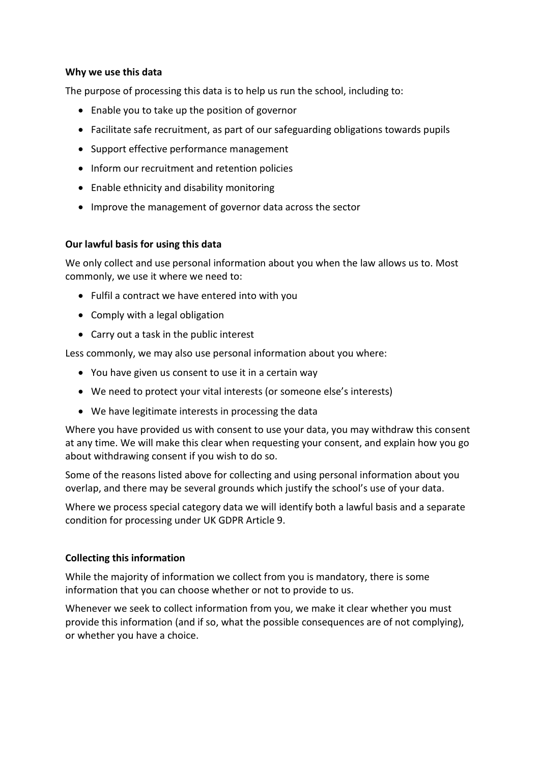# **Why we use this data**

The purpose of processing this data is to help us run the school, including to:

- Enable you to take up the position of governor
- Facilitate safe recruitment, as part of our safeguarding obligations towards pupils
- Support effective performance management
- Inform our recruitment and retention policies
- Enable ethnicity and disability monitoring
- Improve the management of governor data across the sector

# **Our lawful basis for using this data**

We only collect and use personal information about you when the law allows us to. Most commonly, we use it where we need to:

- Fulfil a contract we have entered into with you
- Comply with a legal obligation
- Carry out a task in the public interest

Less commonly, we may also use personal information about you where:

- You have given us consent to use it in a certain way
- We need to protect your vital interests (or someone else's interests)
- We have legitimate interests in processing the data

Where you have provided us with consent to use your data, you may withdraw this consent at any time. We will make this clear when requesting your consent, and explain how you go about withdrawing consent if you wish to do so.

Some of the reasons listed above for collecting and using personal information about you overlap, and there may be several grounds which justify the school's use of your data.

Where we process special category data we will identify both a lawful basis and a separate condition for processing under UK GDPR Article 9.

# **Collecting this information**

While the majority of information we collect from you is mandatory, there is some information that you can choose whether or not to provide to us.

Whenever we seek to collect information from you, we make it clear whether you must provide this information (and if so, what the possible consequences are of not complying), or whether you have a choice.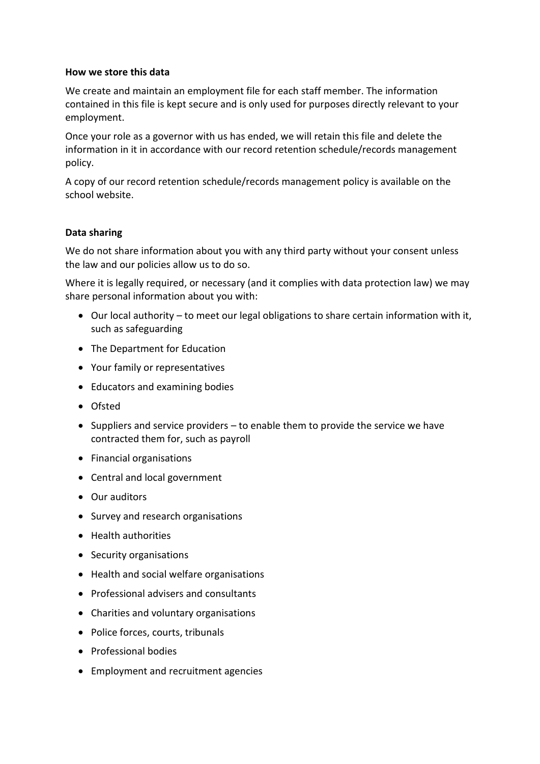# **How we store this data**

We create and maintain an employment file for each staff member. The information contained in this file is kept secure and is only used for purposes directly relevant to your employment.

Once your role as a governor with us has ended, we will retain this file and delete the information in it in accordance with our record retention schedule/records management policy.

A copy of our record retention schedule/records management policy is available on the school website.

# **Data sharing**

We do not share information about you with any third party without your consent unless the law and our policies allow us to do so.

Where it is legally required, or necessary (and it complies with data protection law) we may share personal information about you with:

- Our local authority to meet our legal obligations to share certain information with it, such as safeguarding
- The Department for Education
- Your family or representatives
- Educators and examining bodies
- Ofsted
- Suppliers and service providers to enable them to provide the service we have contracted them for, such as payroll
- Financial organisations
- Central and local government
- Our auditors
- Survey and research organisations
- Health authorities
- Security organisations
- Health and social welfare organisations
- Professional advisers and consultants
- Charities and voluntary organisations
- Police forces, courts, tribunals
- Professional bodies
- Employment and recruitment agencies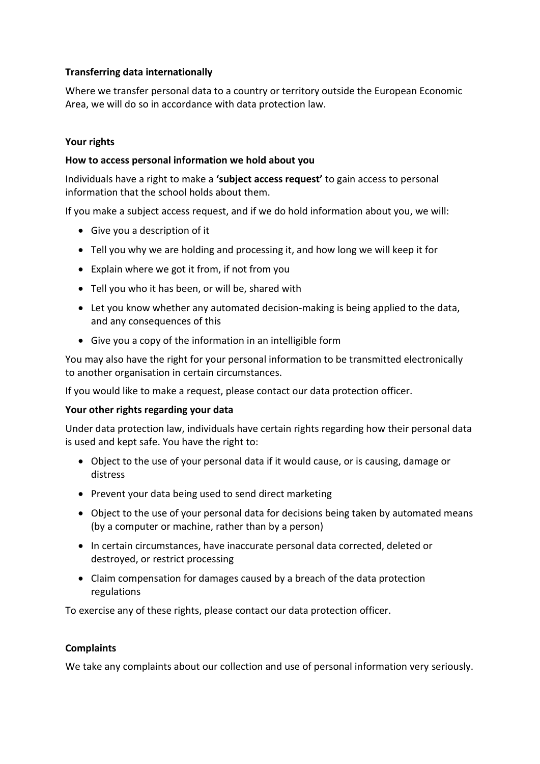# **Transferring data internationally**

Where we transfer personal data to a country or territory outside the European Economic Area, we will do so in accordance with data protection law.

# **Your rights**

# **How to access personal information we hold about you**

Individuals have a right to make a **'subject access request'** to gain access to personal information that the school holds about them.

If you make a subject access request, and if we do hold information about you, we will:

- Give you a description of it
- Tell you why we are holding and processing it, and how long we will keep it for
- Explain where we got it from, if not from you
- Tell you who it has been, or will be, shared with
- Let you know whether any automated decision-making is being applied to the data, and any consequences of this
- Give you a copy of the information in an intelligible form

You may also have the right for your personal information to be transmitted electronically to another organisation in certain circumstances.

If you would like to make a request, please contact our data protection officer.

# **Your other rights regarding your data**

Under data protection law, individuals have certain rights regarding how their personal data is used and kept safe. You have the right to:

- Object to the use of your personal data if it would cause, or is causing, damage or distress
- Prevent your data being used to send direct marketing
- Object to the use of your personal data for decisions being taken by automated means (by a computer or machine, rather than by a person)
- In certain circumstances, have inaccurate personal data corrected, deleted or destroyed, or restrict processing
- Claim compensation for damages caused by a breach of the data protection regulations

To exercise any of these rights, please contact our data protection officer.

# **Complaints**

We take any complaints about our collection and use of personal information very seriously.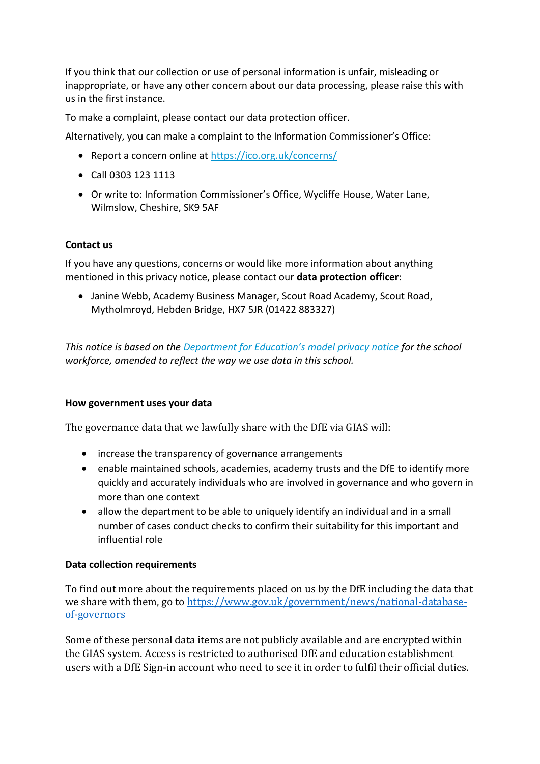If you think that our collection or use of personal information is unfair, misleading or inappropriate, or have any other concern about our data processing, please raise this with us in the first instance.

To make a complaint, please contact our data protection officer.

Alternatively, you can make a complaint to the Information Commissioner's Office:

- Report a concern online at<https://ico.org.uk/concerns/>
- Call 0303 123 1113
- Or write to: Information Commissioner's Office, Wycliffe House, Water Lane, Wilmslow, Cheshire, SK9 5AF

# **Contact us**

If you have any questions, concerns or would like more information about anything mentioned in this privacy notice, please contact our **data protection officer**:

• Janine Webb, Academy Business Manager, Scout Road Academy, Scout Road, Mytholmroyd, Hebden Bridge, HX7 5JR (01422 883327)

*This notice is based on the [Department for Education's model privacy notice](https://www.gov.uk/government/publications/data-protection-and-privacy-privacy-notices) for the school workforce, amended to reflect the way we use data in this school.*

# **How government uses your data**

The governance data that we lawfully share with the DfE via GIAS will:

- increase the transparency of governance arrangements
- enable maintained schools, academies, academy trusts and the DfE to identify more quickly and accurately individuals who are involved in governance and who govern in more than one context
- allow the department to be able to uniquely identify an individual and in a small number of cases conduct checks to confirm their suitability for this important and influential role

# **Data collection requirements**

To find out more about the requirements placed on us by the DfE including the data that we share with them, go to [https://www.gov.uk/government/news/national-database](https://www.gov.uk/government/news/national-database-of-governors)[of-governors](https://www.gov.uk/government/news/national-database-of-governors)

Some of these personal data items are not publicly available and are encrypted within the GIAS system. Access is restricted to authorised DfE and education establishment users with a DfE Sign-in account who need to see it in order to fulfil their official duties.